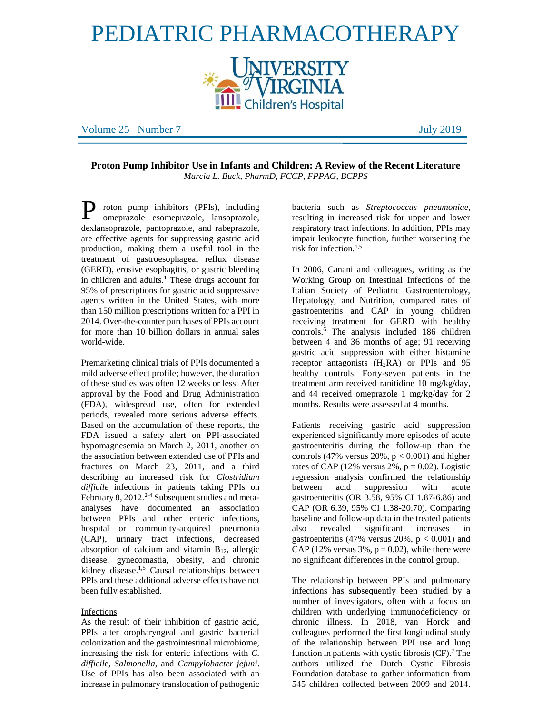# PEDIATRIC PHARMACOTHERAPY **INIVERSITY<br>***"V***IRGINIA Children's Hospital**

Volume 25 Number 7 July 2019

**Proton Pump Inhibitor Use in Infants and Children: A Review of the Recent Literature**  *Marcia L. Buck, PharmD, FCCP, FPPAG, BCPPS*

P roton pump inhibitors (PPIs), including<br>
omeprazole esomeprazole, lansoprazole, omeprazole esomeprazole, lansoprazole, dexlansoprazole, pantoprazole, and rabeprazole, are effective agents for suppressing gastric acid production, making them a useful tool in the treatment of gastroesophageal reflux disease (GERD), erosive esophagitis, or gastric bleeding in children and adults.<sup>1</sup> These drugs account for 95% of prescriptions for gastric acid suppressive agents written in the United States, with more than 150 million prescriptions written for a PPI in 2014. Over-the-counter purchases of PPIs account for more than 10 billion dollars in annual sales world-wide.

Premarketing clinical trials of PPIs documented a mild adverse effect profile; however, the duration of these studies was often 12 weeks or less. After approval by the Food and Drug Administration (FDA), widespread use, often for extended periods, revealed more serious adverse effects. Based on the accumulation of these reports, the FDA issued a safety alert on PPI-associated hypomagnesemia on March 2, 2011, another on the association between extended use of PPIs and fractures on March 23, 2011, and a third describing an increased risk for *Clostridium difficile* infections in patients taking PPIs on February 8,  $2012^{2-4}$  Subsequent studies and metaanalyses have documented an association between PPIs and other enteric infections, hospital or community-acquired pneumonia (CAP), urinary tract infections, decreased absorption of calcium and vitamin  $B_{12}$ , allergic disease, gynecomastia, obesity, and chronic kidney disease.<sup>1,5</sup> Causal relationships between PPIs and these additional adverse effects have not been fully established.

#### Infections

As the result of their inhibition of gastric acid, PPIs alter oropharyngeal and gastric bacterial colonization and the gastrointestinal microbiome, increasing the risk for enteric infections with *C. difficil*e, *Salmonella,* and *Campylobacter jejuni*. Use of PPIs has also been associated with an increase in pulmonary translocation of pathogenic bacteria such as *Streptococcus pneumoniae*, resulting in increased risk for upper and lower respiratory tract infections. In addition, PPIs may impair leukocyte function, further worsening the risk for infection.1,5

In 2006, Canani and colleagues, writing as the Working Group on Intestinal Infections of the Italian Society of Pediatric Gastroenterology, Hepatology, and Nutrition, compared rates of gastroenteritis and CAP in young children receiving treatment for GERD with healthy controls.<sup>6</sup> The analysis included 186 children between 4 and 36 months of age; 91 receiving gastric acid suppression with either histamine receptor antagonists  $(H_2RA)$  or PPIs and 95 healthy controls. Forty-seven patients in the treatment arm received ranitidine 10 mg/kg/day, and 44 received omeprazole 1 mg/kg/day for 2 months. Results were assessed at 4 months.

Patients receiving gastric acid suppression experienced significantly more episodes of acute gastroenteritis during the follow-up than the controls (47% versus  $20\%$ ,  $p < 0.001$ ) and higher rates of CAP (12% versus 2%,  $p = 0.02$ ). Logistic regression analysis confirmed the relationship between acid suppression with acute gastroenteritis (OR 3.58, 95% CI 1.87-6.86) and CAP (OR 6.39, 95% CI 1.38-20.70). Comparing baseline and follow-up data in the treated patients also revealed significant increases in gastroenteritis (47% versus 20%,  $p < 0.001$ ) and CAP (12% versus  $3\%$ ,  $p = 0.02$ ), while there were no significant differences in the control group.

The relationship between PPIs and pulmonary infections has subsequently been studied by a number of investigators, often with a focus on children with underlying immunodeficiency or chronic illness. In 2018, van Horck and colleagues performed the first longitudinal study of the relationship between PPI use and lung function in patients with cystic fibrosis  $(CF)$ .<sup>7</sup> The authors utilized the Dutch Cystic Fibrosis Foundation database to gather information from 545 children collected between 2009 and 2014.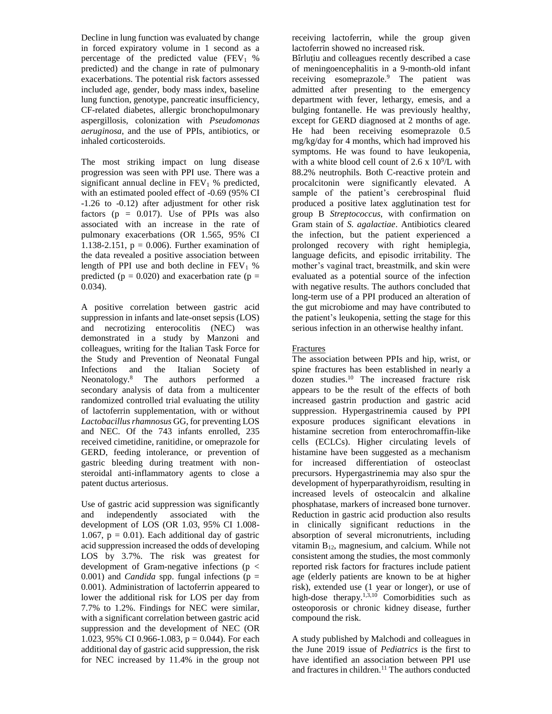Decline in lung function was evaluated by change in forced expiratory volume in 1 second as a percentage of the predicted value  $(FEV<sub>1</sub> %$ predicted) and the change in rate of pulmonary exacerbations. The potential risk factors assessed included age, gender, body mass index, baseline lung function, genotype, pancreatic insufficiency, CF-related diabetes, allergic bronchopulmonary aspergillosis, colonization with *Pseudomonas aeruginosa*, and the use of PPIs, antibiotics, or inhaled corticosteroids.

The most striking impact on lung disease progression was seen with PPI use. There was a significant annual decline in  $FEV<sub>1</sub>$ % predicted, with an estimated pooled effect of -0.69 (95% CI -1.26 to -0.12) after adjustment for other risk factors ( $p = 0.017$ ). Use of PPIs was also associated with an increase in the rate of pulmonary exacerbations (OR 1.565, 95% CI 1.138-2.151,  $p = 0.006$ . Further examination of the data revealed a positive association between length of PPI use and both decline in  $FEV<sub>1</sub>$  % predicted ( $p = 0.020$ ) and exacerbation rate ( $p =$ 0.034).

A positive correlation between gastric acid suppression in infants and late-onset sepsis (LOS) and necrotizing enterocolitis (NEC) was demonstrated in a study by Manzoni and colleagues, writing for the Italian Task Force for the Study and Prevention of Neonatal Fungal Infections and the Italian Society of Neonatology.<sup>8</sup> The authors performed a secondary analysis of data from a multicenter randomized controlled trial evaluating the utility of lactoferrin supplementation, with or without *Lactobacillus rhamnosus* GG, for preventing LOS and NEC. Of the 743 infants enrolled, 235 received cimetidine, ranitidine, or omeprazole for GERD, feeding intolerance, or prevention of gastric bleeding during treatment with nonsteroidal anti-inflammatory agents to close a patent ductus arteriosus.

Use of gastric acid suppression was significantly and independently associated with the development of LOS (OR 1.03, 95% CI 1.008- 1.067,  $p = 0.01$ ). Each additional day of gastric acid suppression increased the odds of developing LOS by 3.7%. The risk was greatest for development of Gram-negative infections ( $p <$  $(0.001)$  and *Candida* spp. fungal infections ( $p =$ 0.001). Administration of lactoferrin appeared to lower the additional risk for LOS per day from 7.7% to 1.2%. Findings for NEC were similar, with a significant correlation between gastric acid suppression and the development of NEC (OR 1.023, 95% CI 0.966-1.083,  $p = 0.044$ ). For each additional day of gastric acid suppression, the risk for NEC increased by 11.4% in the group not

receiving lactoferrin, while the group given lactoferrin showed no increased risk.

Bîrluţiu and colleagues recently described a case of meningoencephalitis in a 9-month-old infant receiving esomeprazole.<sup>9</sup> The patient was admitted after presenting to the emergency department with fever, lethargy, emesis, and a bulging fontanelle. He was previously healthy, except for GERD diagnosed at 2 months of age. He had been receiving esomeprazole 0.5 mg/kg/day for 4 months, which had improved his symptoms. He was found to have leukopenia, with a white blood cell count of  $2.6 \times 10^9$ /L with 88.2% neutrophils. Both C-reactive protein and procalcitonin were significantly elevated. A sample of the patient's cerebrospinal fluid produced a positive latex agglutination test for group B *Streptococcus*, with confirmation on Gram stain of *S. agalactiae*. Antibiotics cleared the infection, but the patient experienced a prolonged recovery with right hemiplegia, language deficits, and episodic irritability. The mother's vaginal tract, breastmilk, and skin were evaluated as a potential source of the infection with negative results. The authors concluded that long-term use of a PPI produced an alteration of the gut microbiome and may have contributed to the patient's leukopenia, setting the stage for this serious infection in an otherwise healthy infant.

## Fractures

The association between PPIs and hip, wrist, or spine fractures has been established in nearly a dozen studies.<sup>10</sup> The increased fracture risk appears to be the result of the effects of both increased gastrin production and gastric acid suppression. Hypergastrinemia caused by PPI exposure produces significant elevations in histamine secretion from enterochromaffin-like cells (ECLCs). Higher circulating levels of histamine have been suggested as a mechanism for increased differentiation of osteoclast precursors. Hypergastrinemia may also spur the development of hyperparathyroidism, resulting in increased levels of osteocalcin and alkaline phosphatase, markers of increased bone turnover. Reduction in gastric acid production also results in clinically significant reductions in the absorption of several micronutrients, including vitamin B12, magnesium, and calcium. While not consistent among the studies, the most commonly reported risk factors for fractures include patient age (elderly patients are known to be at higher risk), extended use (1 year or longer), or use of high-dose therapy.<sup>1,3,10</sup> Comorbidities such as osteoporosis or chronic kidney disease, further compound the risk.

A study published by Malchodi and colleagues in the June 2019 issue of *Pediatrics* is the first to have identified an association between PPI use and fractures in children.<sup>11</sup> The authors conducted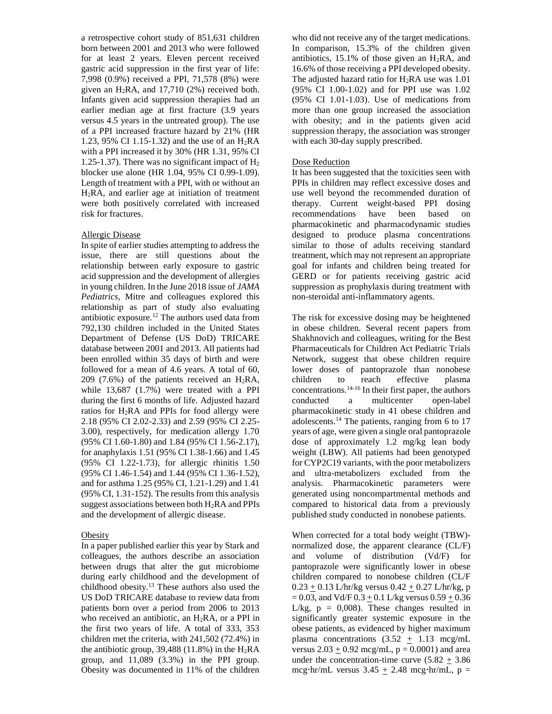a retrospective cohort study of 851,631 children born between 2001 and 2013 who were followed for at least 2 years. Eleven percent received gastric acid suppression in the first year of life: 7,998 (0.9%) received a PPI, 71,578 (8%) were given an  $H_2RA$ , and 17,710 (2%) received both. Infants given acid suppression therapies had an earlier median age at first fracture (3.9 years versus 4.5 years in the untreated group). The use of a PPI increased fracture hazard by 21% (HR 1.23, 95% CI 1.15-1.32) and the use of an H2RA with a PPI increased it by 30% (HR 1.31, 95% CI 1.25-1.37). There was no significant impact of  $H_2$ blocker use alone (HR 1.04, 95% CI 0.99-1.09). Length of treatment with a PPI, with or without an H2RA, and earlier age at initiation of treatment were both positively correlated with increased risk for fractures.

#### Allergic Disease

In spite of earlier studies attempting to address the issue, there are still questions about the relationship between early exposure to gastric acid suppression and the development of allergies in young children. In the June 2018 issue of *JAMA Pediatrics*, Mitre and colleagues explored this relationship as part of study also evaluating antibiotic exposure.<sup>12</sup> The authors used data from 792,130 children included in the United States Department of Defense (US DoD) TRICARE database between 2001 and 2013. All patients had been enrolled within 35 days of birth and were followed for a mean of 4.6 years. A total of 60, 209 (7.6%) of the patients received an  $H_2RA$ , while 13,687 (1.7%) were treated with a PPI during the first 6 months of life. Adjusted hazard ratios for  $H_2RA$  and PPIs for food allergy were 2.18 (95% CI 2.02-2.33) and 2.59 (95% CI 2.25- 3.00), respectively, for medication allergy 1.70 (95% CI 1.60-1.80) and 1.84 (95% CI 1.56-2.17), for anaphylaxis 1.51 (95% CI 1.38-1.66) and 1.45 (95% CI 1.22-1.73), for allergic rhinitis 1.50 (95% CI 1.46-1.54) and 1.44 (95% CI 1.36-1.52), and for asthma 1.25 (95% CI, 1.21-1.29) and 1.41 (95% CI, 1.31-152). The results from this analysis suggest associations between both  $H_2RA$  and PPIs and the development of allergic disease.

#### **Obesity**

In a paper published earlier this year by Stark and colleagues, the authors describe an association between drugs that alter the gut microbiome during early childhood and the development of childhood obesity.<sup>13</sup> These authors also used the US DoD TRICARE database to review data from patients born over a period from 2006 to 2013 who received an antibiotic, an  $H_2RA$ , or a PPI in the first two years of life. A total of 333, 353 children met the criteria, with 241,502 (72.4%) in the antibiotic group, 39,488 (11.8%) in the  $H_2RA$ group, and 11,089 (3.3%) in the PPI group. Obesity was documented in 11% of the children

who did not receive any of the target medications. In comparison, 15.3% of the children given antibiotics,  $15.1\%$  of those given an H<sub>2</sub>RA, and 16.6% of those receiving a PPI developed obesity. The adjusted hazard ratio for  $H_2RA$  use was 1.01 (95% CI 1.00-1.02) and for PPI use was 1.02 (95% CI 1.01-1.03). Use of medications from more than one group increased the association with obesity; and in the patients given acid suppression therapy, the association was stronger with each 30-day supply prescribed.

### Dose Reduction

It has been suggested that the toxicities seen with PPIs in children may reflect excessive doses and use well beyond the recommended duration of therapy. Current weight-based PPI dosing recommendations have been based on pharmacokinetic and pharmacodynamic studies designed to produce plasma concentrations similar to those of adults receiving standard treatment, which may not represent an appropriate goal for infants and children being treated for GERD or for patients receiving gastric acid suppression as prophylaxis during treatment with non-steroidal anti-inflammatory agents.

The risk for excessive dosing may be heightened in obese children. Several recent papers from Shakhnovich and colleagues, writing for the Best Pharmaceuticals for Children Act Pediatric Trials Network, suggest that obese children require lower doses of pantoprazole than nonobese children to reach effective plasma concentrations.  $14-16$  In their first paper, the authors conducted a multicenter open-label pharmacokinetic study in 41 obese children and adolescents.<sup>14</sup> The patients, ranging from 6 to 17 years of age, were given a single oral pantoprazole dose of approximately 1.2 mg/kg lean body weight (LBW). All patients had been genotyped for CYP2C19 variants, with the poor metabolizers and ultra-metabolizers excluded from the analysis. Pharmacokinetic parameters were generated using noncompartmental methods and compared to historical data from a previously published study conducted in nonobese patients.

When corrected for a total body weight (TBW) normalized dose, the apparent clearance (CL/F) and volume of distribution (Vd/F) for pantoprazole were significantly lower in obese children compared to nonobese children (CL/F  $0.23 + 0.13$  L/hr/kg versus  $0.42 + 0.27$  L/hr/kg, p  $= 0.03$ , and Vd/F  $0.3 + 0.1$  L/kg versus  $0.59 + 0.36$ L/kg,  $p = 0.008$ ). These changes resulted in significantly greater systemic exposure in the obese patients, as evidenced by higher maximum plasma concentrations  $(3.52 \pm 1.13 \text{ mcg/mL})$ versus  $2.03 \pm 0.92$  mcg/mL,  $p = 0.0001$ ) and area under the concentration-time curve  $(5.82 + 3.86)$ mcg·hr/mL versus  $3.45 \pm 2.48$  mcg·hr/mL, p =